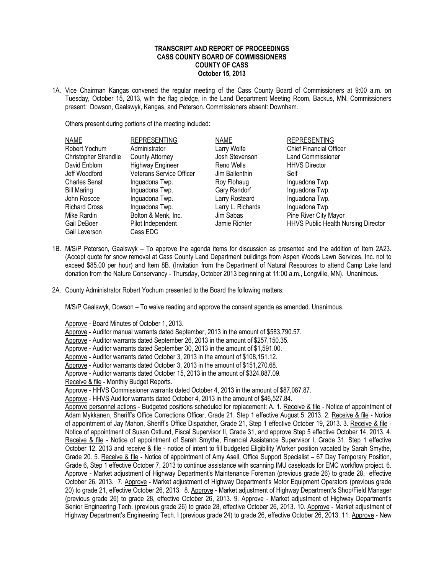## **TRANSCRIPT AND REPORT OF PROCEEDINGS CASS COUNTY BOARD OF COMMISSIONERS COUNTY OF CASS October 15, 2013**

1A. Vice Chairman Kangas convened the regular meeting of the Cass County Board of Commissioners at 9:00 a.m. on Tuesday, October 15, 2013, with the flag pledge, in the Land Department Meeting Room, Backus, MN. Commissioners present: Dowson, Gaalswyk, Kangas, and Peterson. Commissioners absent: Downham.

Others present during portions of the meeting included:

| <b>NAME</b>           | <b>REPRESENTING</b>             | <b>NAME</b>       | <b>REPRESENTING</b>                        |
|-----------------------|---------------------------------|-------------------|--------------------------------------------|
| Robert Yochum         | Administrator                   | Larry Wolfe       | <b>Chief Financial Officer</b>             |
| Christopher Strandlie | County Attorney                 | Josh Stevenson    | Land Commissioner                          |
| David Enblom          | <b>Highway Engineer</b>         | Reno Wells        | <b>HHVS Director</b>                       |
| Jeff Woodford         | <b>Veterans Service Officer</b> | Jim Ballenthin    | Self                                       |
| <b>Charles Senst</b>  | Inguadona Twp.                  | Roy Flohaug       | Inguadona Twp.                             |
| <b>Bill Maring</b>    | Inguadona Twp.                  | Gary Randorf      | Inguadona Twp.                             |
| John Roscoe           | Inguadona Twp.                  | Larry Rosteard    | Inguadona Twp.                             |
| <b>Richard Cross</b>  | Inguadona Twp.                  | Larry L. Richards | Inguadona Twp.                             |
| Mike Rardin           | Bolton & Menk, Inc.             | Jim Sabas         | Pine River City Mayor                      |
| Gail DeBoer           | Pilot Independent               | Jamie Richter     | <b>HHVS Public Health Nursing Director</b> |
| Gail Leverson         | Cass EDC                        |                   |                                            |

- 1B. M/S/P Peterson, Gaalswyk To approve the agenda items for discussion as presented and the addition of Item 2A23. (Accept quote for snow removal at Cass County Land Department buildings from Aspen Woods Lawn Services, Inc. not to exceed \$85.00 per hour) and Item 8B. (Invitation from the Department of Natural Resources to attend Camp Lake land donation from the Nature Conservancy - Thursday, October 2013 beginning at 11:00 a.m., Longville, MN). Unanimous.
- 2A. County Administrator Robert Yochum presented to the Board the following matters:

M/S/P Gaalswyk, Dowson – To waive reading and approve the consent agenda as amended. Unanimous.

Approve - Board Minutes of October 1, 2013.

Approve - Auditor manual warrants dated September, 2013 in the amount of \$583,790.57.

Approve - Auditor warrants dated September 26, 2013 in the amount of \$257,150.35.

Approve - Auditor warrants dated September 30, 2013 in the amount of \$1,591.00.

Approve - Auditor warrants dated October 3, 2013 in the amount of \$108,151.12.

Approve - Auditor warrants dated October 3, 2013 in the amount of \$151,270.68.

Approve - Auditor warrants dated October 15, 2013 in the amount of \$324,887.09.

Receive & file - Monthly Budget Reports.

Approve - HHVS Commissioner warrants dated October 4, 2013 in the amount of \$87,087.87.

Approve - HHVS Auditor warrants dated October 4, 2013 in the amount of \$46,527.84.

Approve personnel actions - Budgeted positions scheduled for replacement: A. 1. Receive & file - Notice of appointment of Adam Mykkanen, Sheriff's Office Corrections Officer, Grade 21, Step 1 effective August 5, 2013. 2. Receive & file - Notice of appointment of Jay Mahon, Sheriff's Office Dispatcher, Grade 21, Step 1 effective October 19, 2013. 3. Receive & file - Notice of appointment of Susan Ostlund, Fiscal Supervisor II, Grade 31, and approve Step 5 effective October 14, 2013. 4. Receive & file - Notice of appointment of Sarah Smythe, Financial Assistance Supervisor I, Grade 31, Step 1 effective October 12, 2013 and receive & file - notice of intent to fill budgeted Eligibility Worker position vacated by Sarah Smythe, Grade 20. 5. Receive & file - Notice of appointment of Amy Asell, Office Support Specialist – 67 Day Temporary Position, Grade 6, Step 1 effective October 7, 2013 to continue assistance with scanning IMU caseloads for EMC workflow project. 6. Approve - Market adjustment of Highway Department's Maintenance Foreman (previous grade 26) to grade 28, effective October 26, 2013. 7. Approve - Market adjustment of Highway Department's Motor Equipment Operators (previous grade 20) to grade 21, effective October 26, 2013. 8. Approve - Market adjustment of Highway Department's Shop/Field Manager (previous grade 26) to grade 28, effective October 26, 2013. 9. Approve - Market adjustment of Highway Department's Senior Engineering Tech. (previous grade 26) to grade 28, effective October 26, 2013. 10. Approve - Market adjustment of Highway Department's Engineering Tech. I (previous grade 24) to grade 26, effective October 26, 2013. 11. Approve - New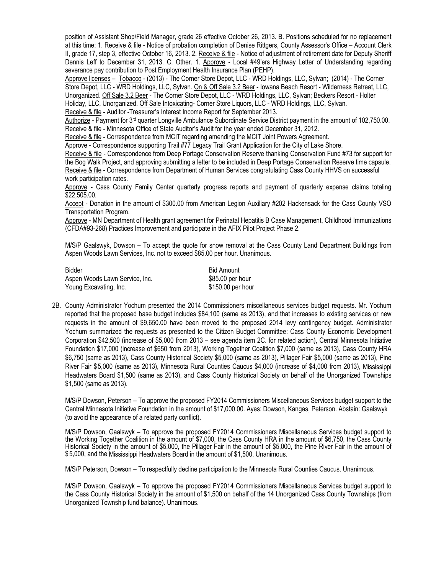position of Assistant Shop/Field Manager, grade 26 effective October 26, 2013. B. Positions scheduled for no replacement at this time: 1. Receive & file - Notice of probation completion of Denise Rittgers, County Assessor's Office – Account Clerk II, grade 17, step 3, effective October 16, 2013. 2. Receive & file - Notice of adjustment of retirement date for Deputy Sheriff Dennis Leff to December 31, 2013. C. Other. 1. Approve - Local #49'ers Highway Letter of Understanding regarding severance pay contribution to Post Employment Health Insurance Plan (PEHP).

Approve licenses – Tobacco - (2013) - The Corner Store Depot, LLC - WRD Holdings, LLC, Sylvan; (2014) - The Corner Store Depot, LLC - WRD Holdings, LLC, Sylvan. On & Off Sale 3.2 Beer - Iowana Beach Resort - Wilderness Retreat, LLC, Unorganized. Off Sale 3.2 Beer - The Corner Store Depot, LLC - WRD Holdings, LLC, Sylvan; Beckers Resort - Holter Holiday, LLC, Unorganized. Off Sale Intoxicating- Corner Store Liquors, LLC - WRD Holdings, LLC, Sylvan.

Receive & file - Auditor -Treasurer's Interest Income Report for September 2013.

Authorize - Payment for 3<sup>rd</sup> quarter Longville Ambulance Subordinate Service District payment in the amount of 102,750.00. Receive & file - Minnesota Office of State Auditor's Audit for the year ended December 31, 2012.

Receive & file - Correspondence from MCIT regarding amending the MCIT Joint Powers Agreement.

Approve - Correspondence supporting Trail #77 Legacy Trail Grant Application for the City of Lake Shore.

Receive & file - Correspondence from Deep Portage Conservation Reserve thanking Conservation Fund #73 for support for the Bog Walk Project, and approving submitting a letter to be included in Deep Portage Conservation Reserve time capsule. Receive & file - Correspondence from Department of Human Services congratulating Cass County HHVS on successful work participation rates.

Approve - Cass County Family Center quarterly progress reports and payment of quarterly expense claims totaling \$22,505.00.

Accept - Donation in the amount of \$300.00 from American Legion Auxiliary #202 Hackensack for the Cass County VSO Transportation Program.

Approve - MN Department of Health grant agreement for Perinatal Hepatitis B Case Management, Childhood Immunizations (CFDA#93-268) Practices Improvement and participate in the AFIX Pilot Project Phase 2.

M/S/P Gaalswyk, Dowson – To accept the quote for snow removal at the Cass County Land Department Buildings from Aspen Woods Lawn Services, Inc. not to exceed \$85.00 per hour. Unanimous.

| Bidder                         |  |
|--------------------------------|--|
| Aspen Woods Lawn Service, Inc. |  |
| Young Excavating, Inc.         |  |

**Bid Amount**  $$85.00$  per hour  $$150.00$  per hour

2B. County Administrator Yochum presented the 2014 Commissioners miscellaneous services budget requests. Mr. Yochum reported that the proposed base budget includes \$84,100 (same as 2013), and that increases to existing services or new requests in the amount of \$9,650.00 have been moved to the proposed 2014 levy contingency budget. Administrator Yochum summarized the requests as presented to the Citizen Budget Committee: Cass County Economic Development Corporation \$42,500 (increase of \$5,000 from 2013 – see agenda item 2C. for related action), Central Minnesota Initiative Foundation \$17,000 (increase of \$650 from 2013), Working Together Coalition \$7,000 (same as 2013), Cass County HRA \$6,750 (same as 2013), Cass County Historical Society \$5,000 (same as 2013), Pillager Fair \$5,000 (same as 2013), Pine River Fair \$5,000 (same as 2013), Minnesota Rural Counties Caucus \$4,000 (increase of \$4,000 from 2013), Mississippi Headwaters Board \$1,500 (same as 2013), and Cass County Historical Society on behalf of the Unorganized Townships \$1,500 (same as 2013).

M/S/P Dowson, Peterson – To approve the proposed FY2014 Commissioners Miscellaneous Services budget support to the Central Minnesota Initiative Foundation in the amount of \$17,000.00. Ayes: Dowson, Kangas, Peterson. Abstain: Gaalswyk (to avoid the appearance of a related party conflict).

M/S/P Dowson, Gaalswyk – To approve the proposed FY2014 Commissioners Miscellaneous Services budget support to the Working Together Coalition in the amount of \$7,000, the Cass County HRA in the amount of \$6,750, the Cass County Historical Society in the amount of \$5,000, the Pillager Fair in the amount of \$5,000, the Pine River Fair in the amount of \$5,000, and the Mississippi Headwaters Board in the amount of \$1,500. Unanimous.

M/S/P Peterson, Dowson – To respectfully decline participation to the Minnesota Rural Counties Caucus. Unanimous.

M/S/P Dowson, Gaalswyk – To approve the proposed FY2014 Commissioners Miscellaneous Services budget support to the Cass County Historical Society in the amount of \$1,500 on behalf of the 14 Unorganized Cass County Townships (from Unorganized Township fund balance). Unanimous.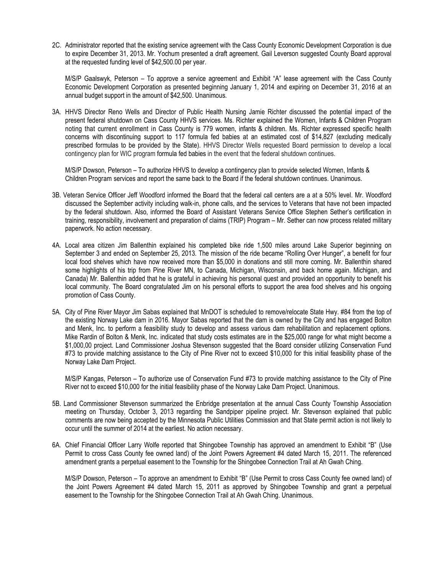2C. Administrator reported that the existing service agreement with the Cass County Economic Development Corporation is due to expire December 31, 2013. Mr. Yochum presented a draft agreement. Gail Leverson suggested County Board approval at the requested funding level of \$42,500.00 per year.

M/S/P Gaalswyk, Peterson – To approve a service agreement and Exhibit "A" lease agreement with the Cass County Economic Development Corporation as presented beginning January 1, 2014 and expiring on December 31, 2016 at an annual budget support in the amount of \$42,500. Unanimous.

3A. HHVS Director Reno Wells and Director of Public Health Nursing Jamie Richter discussed the potential impact of the present federal shutdown on Cass County HHVS services. Ms. Richter explained the Women, Infants & Children Program noting that current enrollment in Cass County is 779 women, infants & children. Ms. Richter expressed specific health concerns with discontinuing support to 117 formula fed babies at an estimated cost of \$14,827 (excluding medically prescribed formulas to be provided by the State). HHVS Director Wells requested Board permission to develop a local contingency plan for WIC program formula fed babies in the event that the federal shutdown continues.

M/S/P Dowson, Peterson – To authorize HHVS to develop a contingency plan to provide selected Women, Infants & Children Program services and report the same back to the Board if the federal shutdown continues. Unanimous.

- 3B. Veteran Service Officer Jeff Woodford informed the Board that the federal call centers are a at a 50% level. Mr. Woodford discussed the September activity including walk-in, phone calls, and the services to Veterans that have not been impacted by the federal shutdown. Also, informed the Board of Assistant Veterans Service Office Stephen Sether's certification in training, responsibility, involvement and preparation of claims (TRIP) Program – Mr. Sether can now process related military paperwork. No action necessary.
- 4A. Local area citizen Jim Ballenthin explained his completed bike ride 1,500 miles around Lake Superior beginning on September 3 and ended on September 25, 2013. The mission of the ride became "Rolling Over Hunger", a benefit for four local food shelves which have now received more than \$5,000 in donations and still more coming. Mr. Ballenthin shared some highlights of his trip from Pine River MN, to Canada, Michigan, Wisconsin, and back home again. Michigan, and Canada) Mr. Ballenthin added that he is grateful in achieving his personal quest and provided an opportunity to benefit his local community. The Board congratulated Jim on his personal efforts to support the area food shelves and his ongoing promotion of Cass County.
- 5A. City of Pine River Mayor Jim Sabas explained that MnDOT is scheduled to remove/relocate State Hwy. #84 from the top of the existing Norway Lake dam in 2016. Mayor Sabas reported that the dam is owned by the City and has engaged Bolton and Menk, Inc. to perform a feasibility study to develop and assess various dam rehabilitation and replacement options. Mike Rardin of Bolton & Menk, Inc. indicated that study costs estimates are in the \$25,000 range for what might become a \$1,000,00 project. Land Commissioner Joshua Stevenson suggested that the Board consider utilizing Conservation Fund #73 to provide matching assistance to the City of Pine River not to exceed \$10,000 for this initial feasibility phase of the Norway Lake Dam Project.

M/S/P Kangas, Peterson – To authorize use of Conservation Fund #73 to provide matching assistance to the City of Pine River not to exceed \$10,000 for the initial feasibility phase of the Norway Lake Dam Project. Unanimous.

- 5B. Land Commissioner Stevenson summarized the Enbridge presentation at the annual Cass County Township Association meeting on Thursday, October 3, 2013 regarding the Sandpiper pipeline project. Mr. Stevenson explained that public comments are now being accepted by the Minnesota Public Utilities Commission and that State permit action is not likely to occur until the summer of 2014 at the earliest. No action necessary.
- 6A. Chief Financial Officer Larry Wolfe reported that Shingobee Township has approved an amendment to Exhibit "B" (Use Permit to cross Cass County fee owned land) of the Joint Powers Agreement #4 dated March 15, 2011. The referenced amendment grants a perpetual easement to the Township for the Shingobee Connection Trail at Ah Gwah Ching.

M/S/P Dowson, Peterson – To approve an amendment to Exhibit "B" (Use Permit to cross Cass County fee owned land) of the Joint Powers Agreement #4 dated March 15, 2011 as approved by Shingobee Township and grant a perpetual easement to the Township for the Shingobee Connection Trail at Ah Gwah Ching. Unanimous.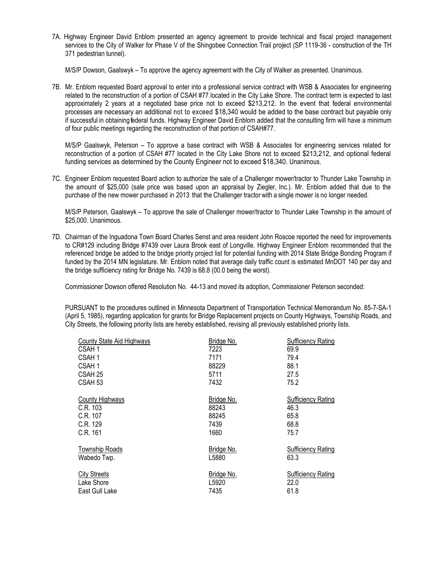7A. Highway Engineer David Enblom presented an agency agreement to provide technical and fiscal project management services to the City of Walker for Phase V of the Shingobee Connection Trail project (SP 1119-36 - construction of the TH 371 pedestrian tunnel).

M/S/P Dowson, Gaalswyk – To approve the agency agreement with the City of Walker as presented. Unanimous.

7B. Mr. Enblom requested Board approval to enter into a professional service contract with WSB & Associates for engineering related to the reconstruction of a portion of CSAH #77 located in the City Lake Shore. The contract term is expected to last approximately 2 years at a negotiated base price not to exceed \$213,212. In the event that federal environmental processes are necessary an additional not to exceed \$18,340 would be added to the base contract but payable only if successful in obtaining federal funds. Highway Engineer David Enblom added that the consulting firm will have a minimum of four public meetings regarding the reconstruction of that portion of CSAH#77.

M/S/P Gaalswyk, Peterson – To approve a base contract with WSB & Associates for engineering services related for reconstruction of a portion of CSAH #77 located in the City Lake Shore not to exceed \$213,212, and optional federal funding services as determined by the County Engineer not to exceed \$18,340. Unanimous.

7C. Engineer Enblom requested Board action to authorize the sale of a Challenger mower/tractor to Thunder Lake Township in the amount of \$25,000 (sale price was based upon an appraisal by Ziegler, Inc.). Mr. Enblom added that due to the purchase of the new mower purchased in 2013 that the Challenger tractor with a single mower is no longer needed.

M/S/P Peterson, Gaalswyk – To approve the sale of Challenger mower/tractor to Thunder Lake Township in the amount of \$25,000. Unanimous.

7D. Chairman of the Inguadona Town Board Charles Senst and area resident John Roscoe reported the need for improvements to CR#129 including Bridge #7439 over Laura Brook east of Longville. Highway Engineer Enblom recommended that the referenced bridge be added to the bridge priority project list for potential funding with 2014 State Bridge Bonding Program if funded by the 2014 MN legislature. Mr. Enblom noted that average daily traffic count is estimated MnDOT 140 per day and the bridge sufficiency rating for Bridge No. 7439 is 68.8 (00.0 being the worst).

Commissioner Dowson offered Resolution No. 44-13 and moved its adoption, Commissioner Peterson seconded:

PURSUANT to the procedures outlined in Minnesota Department of Transportation Technical Memorandum No. 85-7-SA-1 (April 5, 1985), regarding application for grants for Bridge Replacement projects on County Highways, Township Roads, and City Streets, the following priority lists are hereby established, revising all previously established priority lists.

| County State Aid Highways | Bridge No. | <b>Sufficiency Rating</b> |
|---------------------------|------------|---------------------------|
| CSAH 1                    | 7223       | 69.9                      |
| CSAH 1                    | 7171       | 79.4                      |
| CSAH 1                    | 88229      | 88.1                      |
| CSAH 25                   | 5711       | 27.5                      |
| CSAH 53                   | 7432       | 75.2                      |
| <b>County Highways</b>    | Bridge No. | <b>Sufficiency Rating</b> |
| C.R. 103                  | 88243      | 46.3                      |
| C.R. 107                  | 88245      | 65.8                      |
| C.R. 129                  | 7439       | 68.8                      |
| C.R. 161                  | 1660       | 75.7                      |
| <b>Township Roads</b>     | Bridge No. | <b>Sufficiency Rating</b> |
| Wabedo Twp.               | L5880      | 63.3                      |
| <b>City Streets</b>       | Bridge No. | <b>Sufficiency Rating</b> |
| Lake Shore                | L5920      | 22.0                      |
| East Gull Lake            | 7435       | 61.8                      |